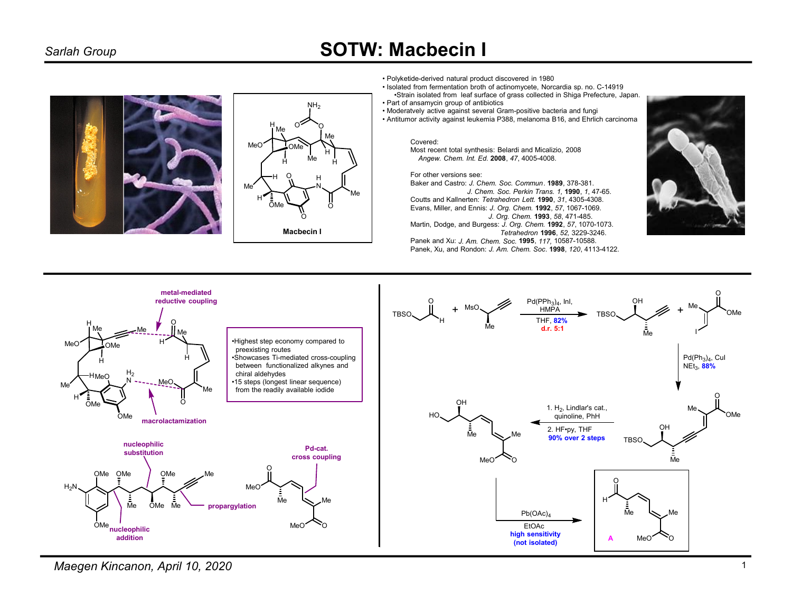# **SOTW: Macbecin I**





· Polyketide-derived natural product discovered in 1980

· Isolated from fermentation broth of actinomycete, Norcardia sp. no. C-14919 •Strain isolated from leaf surface of grass collected in Shiga Prefecture, Japan.

• Part of ansamycin group of antibiotics

· Moderatvely active against several Gram-positive bacteria and fungi • Antitumor activity against leukemia P388, melanoma B16, and Ehrlich carcinoma

#### Covered:

Most recent total synthesis: Belardi and Micalizio, 2008 Angew. Chem. Int. Ed. 2008, 47, 4005-4008.

#### For other versions see:

Baker and Castro: J. Chem. Soc. Commun. 1989, 378-381. J. Chem. Soc. Perkin Trans. 1, 1990, 1, 47-65.

Coutts and Kallnerten: Tetrahedron Lett. 1990, 31, 4305-4308. Evans, Miller, and Ennis: J. Org. Chem. 1992, 57, 1067-1069. J. Org. Chem. 1993, 58, 471-485.<br>Martin, Dodge, and Burgess: J. Org. Chem. 1992, 57, 1070-1073.

Tetrahedron 1996, 52, 3229-3246.

Panek and Xu: J. Am. Chem. Soc. 1995, 117, 10587-10588. Panek, Xu, and Rondon: J. Am. Chem. Soc. 1998, 120, 4113-4122.





Maegen Kincanon, April 10, 2020